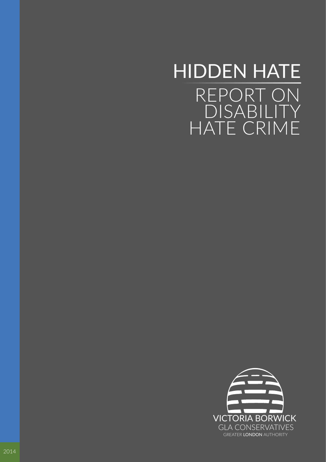# REPORT ON DISABILITY HATE CRIME HIDDEN HATE

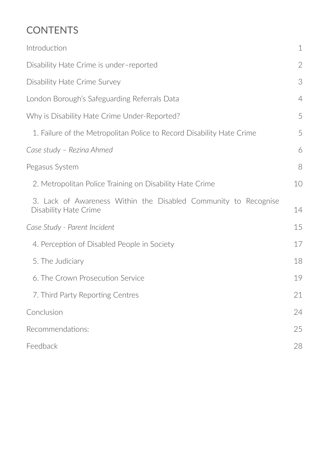# **CONTENTS**

| Introduction                                                                             | $\mathbf 1$    |
|------------------------------------------------------------------------------------------|----------------|
| Disability Hate Crime is under-reported                                                  | $\mathbf{2}$   |
| Disability Hate Crime Survey                                                             | 3              |
| London Borough's Safeguarding Referrals Data                                             | $\overline{4}$ |
| Why is Disability Hate Crime Under-Reported?                                             | 5              |
| 1. Failure of the Metropolitan Police to Record Disability Hate Crime                    | 5              |
| Case study - Rezina Ahmed                                                                | 6              |
| Pegasus System                                                                           | 8              |
| 2. Metropolitan Police Training on Disability Hate Crime                                 | 10             |
| 3. Lack of Awareness Within the Disabled Community to Recognise<br>Disability Hate Crime | 14             |
| Case Study - Parent Incident                                                             |                |
| 4. Perception of Disabled People in Society                                              | 17             |
| 5. The Judiciary                                                                         | 18             |
| 6. The Crown Prosecution Service                                                         | 19             |
| 7. Third Party Reporting Centres                                                         | 21             |
| Conclusion                                                                               | 24             |
| Recommendations:                                                                         | 25             |
| Feedback                                                                                 | 28             |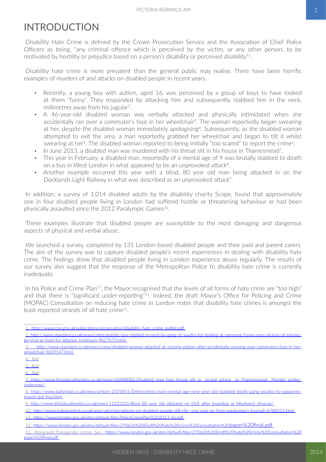### <span id="page-2-0"></span>INTRODUCTION

Disability Hate Crime is defined by the Crown Prosecution Service and the Association of Chief Police Officers as being, "any criminal offence which is perceived by the victim, or any other person, to be motivated by hostility or prejudice based on a person's disability or perceived disability"1.

Disability hate crime is more prevalent than the general public may realise. There have been horrific examples of murders of and attacks on disabled people in recent years.

- Recently, a young boy with autism, aged 16, was perceived by a group of boys to have looked at them "funny". They responded by attacking him and subsequently stabbed him in the neck, millimetres away from his jugular<sup>2</sup>.
- A 46-year-old disabled woman was verbally attacked and physically intimidated when she accidentally ran over a commuter's foot in her wheelchair<sup>3</sup>. The woman reportedly began swearing at her, despite the disabled woman immediately apologising<sup>4</sup>. Subsequently, as the disabled woman attempted to exit the area, a man reportedly grabbed her wheelchair and began to tilt it whilst swearing at her<sup>5</sup>. The disabled woman reported to being initially "too scared" to report the crime<sup>6</sup>.
- In June 2013, a disabled man was murdered with his throat slit in his house in Thamesmead<sup>7</sup>.
- This year in February, a disabled man, reportedly of a mental age of 9 was brutally stabbed to death on a bus in West London in what appeared to be an unprovoked attack<sup>8</sup>.
- Another example occurred this year with a blind, 80 year old man being attacked in on the Docklands Light Railway in what was described as an unprovoked attack<sup>9</sup>.

In addition, a survey of 1,014 disabled adults by the disability charity Scope, found that approximately one in four disabled people living in London had suffered hostile or threatening behaviour or had been physically assaulted since the 2012 Paralympic Games<sup>10</sup>.

These examples illustrate that disabled people are susceptible to the most damaging and dangerous aspects of physical and verbal abuse.

We launched a survey, completed by 131 London-based disabled people and their paid and parent carers. The aim of the survey was to capture disabled people's recent experiences in dealing with disability hate crime. The findings show that disabled people living in London experience abuse regularly. The results of our survey also suggest that the response of the Metropolitan Police to disability hate crime is currently inadequate.

In his Police and Crime Plan<sup>11</sup>, the Mayor recognised that the levels of all forms of hate crime are "too high" and that there is "significant under-reporting"<sup>12</sup>. Indeed, the draft Mayor's Office for Policing and Crime (MOPAC) Consultation on reducing hate crime in London notes that disability hate crimes is amongst the least reported strands of all hate crime<sup>13</sup>.

1. http://www.cps.gov.uk/publications/prosecution/disability\_hate\_crime\_leaflet.pdf

2.[http://www.standard.co.uk/news/crime/autistic-boy-slashed-in-neck-by-gang-of-youths-for-looking-at-someone-funny-sees-picture-of-injuries](http://www.standard.co.uk/news/crime/autistic-boy-slashed-in-neck-by-gang-of-youths-for-looking-at-someone-funny-sees-picture-of-injuries-go-viral-as-hunt-for-attacker-continues-9627673.html)[go-viral-as-hunt-for-attacker-continues-9627673.html](http://www.standard.co.uk/news/crime/autistic-boy-slashed-in-neck-by-gang-of-youths-for-looking-at-someone-funny-sees-picture-of-injuries-go-viral-as-hunt-for-attacker-continues-9627673.html)

<sup>3.</sup> [http://www.standard.co.uk/news/crime/disabled-woman-attacked-at-victoria-station-after-accidentally-running-over-commuters-foot-in-her](http://www.standard.co.uk/news/crime/disabled-woman-attacked-at-victoria-station-after-accidentally-running-over-commuters-foot-in-her-wheelchair-9619147.html)[wheelchair-9619147.html](http://www.standard.co.uk/news/crime/disabled-woman-attacked-at-victoria-station-after-accidentally-running-over-commuters-foot-in-her-wheelchair-9619147.html)

<sup>4.</sup> Ibid

<sup>5.</sup> Ibid

<sup>6.</sup> Ibid

<sup>7.</sup>[http://www.thisislocallondon.co.uk/news/10488082.Disabled\\_man\\_had\\_throat\\_slit\\_in\\_\\_brutal\\_attack\\_\\_in\\_Thamesmead\\_\\_Murder\\_probe\\_](http://www.thisislocallondon.co.uk/news/10488082.Disabled_man_had_throat_slit_in__brutal_attack__in_Thamesmead__Murder_probe_underway/) [underway/](http://www.thisislocallondon.co.uk/news/10488082.Disabled_man_had_throat_slit_in__brutal_attack__in_Thamesmead__Murder_probe_underway/)

<sup>8.</sup>[http://www.dailymail.co.uk/news/article-2555855/Defenceless-man-mental-age-nine-year-old-stabbed-death-gang-youths-no-apparent](http://www.dailymail.co.uk/news/article-2555855/Defenceless-man-mental-age-nine-year-old-stabbed-death-gang-youths-no-apparent-reason-got-bus.html)[reason-got-bus.html](http://www.dailymail.co.uk/news/article-2555855/Defenceless-man-mental-age-nine-year-old-stabbed-death-gang-youths-no-apparent-reason-got-bus.html)

<sup>9.</sup> http://www.thisislocallondon.co.uk/news/11225225.Blind\_80\_year\_old\_attacked\_on\_DLR\_after\_boarding\_at\_Woolwich\_Arsenal/

<sup>10.</sup><http://www.independent.co.uk/news/uk/crime/attacks-on-disabled-people-still-rife--one-year-on-from-paralympics-triumph-8788521.html>

<sup>11.</sup>[https://www.london.gov.uk/sites/default/files/PoliceCrimePlan%202013-16.pdf](https://www.london.gov.uk/sites/default/files/PoliceCrimePlan 2013-16.pdf)

<sup>12.</sup>[https://www.london.gov.uk/sites/default/files/270626%20Draft%20hate%20crime%20consultation%20paper%20final.pdf](https://www.london.gov.uk/sites/default/files/270626 Draft hate crime consultation paper final.pdf)

<sup>13.</sup>Along with Transgender crimes. See - [https://www.london.gov.uk/sites/default/files/270626%20Draft%20hate%20crime%20consultation%20](https://www.london.gov.uk/sites/default/files/270626 Draft hate crime consultation paper final.pdf) [paper%20final.pdf](https://www.london.gov.uk/sites/default/files/270626 Draft hate crime consultation paper final.pdf)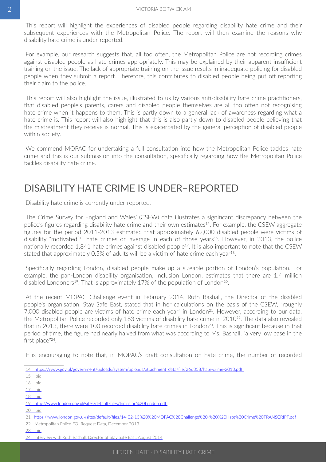<span id="page-3-0"></span>This report will highlight the experiences of disabled people regarding disability hate crime and their subsequent experiences with the Metropolitan Police. The report will then examine the reasons why disability hate crime is under-reported.

For example, our research suggests that, all too often, the Metropolitan Police are not recording crimes against disabled people as hate crimes appropriately. This may be explained by their apparent insufficient training on the issue. The lack of appropriate training on the issue results in inadequate policing for disabled people when they submit a report. Therefore, this contributes to disabled people being put off reporting their claim to the police.

This report will also highlight the issue, illustrated to us by various anti-disability hate crime practitioners, that disabled people's parents, carers and disabled people themselves are all too often not recognising hate crime when it happens to them. This is partly down to a general lack of awareness regarding what a hate crime is. This report will also highlight that this is also partly down to disabled people believing that the mistreatment they receive is normal. This is exacerbated by the general perception of disabled people within society.

We commend MOPAC for undertaking a full consultation into how the Metropolitan Police tackles hate crime and this is our submission into the consultation, specifically regarding how the Metropolitan Police tackles disability hate crime.

### DISABILITY HATE CRIME IS UNDER–REPORTED

Disability hate crime is currently under-reported.

The Crime Survey for England and Wales' (CSEW) data illustrates a significant discrepancy between the police's figures regarding disability hate crime and their own estimates<sup>14</sup>. For example, the CSEW aggregate figures for the period 2011-2013 estimated that approximately 62,000 disabled people were victims of disability "motivated"<sup>15</sup> hate crimes on average in each of those years<sup>16</sup>. However, in 2013, the police nationally recorded 1,841 hate crimes against disabled people<sup>17</sup>. It is also important to note that the CSEW stated that approximately 0.5% of adults will be a victim of hate crime each year18.

Specifically regarding London, disabled people make up a sizeable portion of London's population. For example, the pan-London disability organisation, Inclusion London, estimates that there are 1.4 million disabled Londoners<sup>19</sup>. That is approximately 17% of the population of London<sup>20</sup>.

At the recent MOPAC Challenge event in February 2014, Ruth Bashall, the Director of the disabled people's organisation, Stay Safe East, stated that in her calculations on the basis of the CSEW, "roughly 7,000 disabled people are victims of hate crime each year" in London<sup>21</sup>. However, according to our data, the Metropolitan Police recorded only 183 victims of disability hate crime in 2010<sup>22</sup>. The data also revealed that in 2013, there were 100 recorded disability hate crimes in London<sup>23</sup>. This is significant because in that period of time, the figure had nearly halved from what was according to Ms. Bashall, "a very low base in the first place"<sup>24</sup>.

It is encouraging to note that, in MOPAC's draft consultation on hate crime, the number of recorded

<sup>14.</sup>[https://www.gov.uk/government/uploads/system/uploads/attachment\\_data/file/266358/hate-crime-2013.pdf](https://www.gov.uk/government/uploads/system/uploads/attachment_data/file/266358/hate-crime-2013.pdf)

<sup>15.</sup> Ibid

<sup>16.</sup> Ibid

<sup>17.</sup> Ibid

<sup>18.</sup> Ibid

<sup>19.</sup>[http://www.london.gov.uk/sites/default/files/Inclusion%20London.pdf](http://www.london.gov.uk/sites/default/files/Inclusion London.pdf)

<sup>20.</sup> Ibid

<sup>21.</sup>[https://www.london.gov.uk/sites/default/files/14-02-13%20%20MOPAC%20Challenge%20-%20%20Hate%20Crime%20TRANSCRIPT.pdf](https://www.london.gov.uk/sites/default/files/14-02-13  MOPAC Challenge -  Hate Crime TRANSCRIPT.pdf)

<sup>22.</sup> Metropolitan Police FOI Request Data, December 2013

<sup>23.</sup> Ibid

<sup>24.</sup> Interview with Ruth Bashall, Director of Stay Safe East, August 2014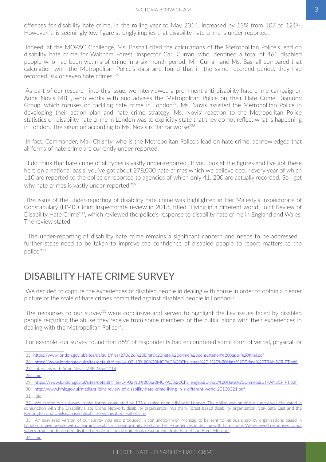<span id="page-4-0"></span>offences for disability hate crime, in the rolling year to May 2014, increased by 13% from 107 to 12125. However, this seemingly low figure strongly implies that disability hate crime is under-reported.

Indeed, at the MOPAC Challenge, Ms. Bashall cited the calculations of the Metropolitan Police's lead on disability hate crime for Waltham Forest, Inspector Carl Curran, who identified a total of 465 disabled people who had been victims of crime in a six month period. Mr. Curran and Ms. Bashall compared that calculation with the Metropolitan Police's data and found that in the same recorded period, they had recorded "six or seven hate crimes"26.

As part of our research into this issue, we interviewed a prominent anti-disability hate crime campaigner, Anne Novis MBE, who works with and advises the Metropolitan Police on their Hate Crime Diamond Group, which focuses on tackling hate crime in London<sup>27</sup>. Ms. Novis assisted the Metropolitan Police in developing their action plan and hate crime strategy. Ms. Novis' reaction to the Metropolitan Police statistics on disability hate crime in London was to explicitly state that they do not reflect what is happening in London. The situation according to Ms. Novis is "far far worse"<sup>28</sup>.

In fact, Commander, Mak Chishty, who is the Metropolitan Police's lead on hate crime, acknowledged that all forms of hate crime are currently under-reported:

"I do think that hate crime of all types is vastly under-reported…If you look at the figures and I've got these here on a national basis, you've got about 278,000 hate crimes which we believe occur every year of which 110 are reported to the police or reported to agencies of which only 41, 200 are actually recorded. So I get why hate crimes is vastly under-reported."<sup>29</sup>

The issue of the under-reporting of disability hate crime was highlighted in Her Majesty's Inspectorate of Constabulary (HMIC) Joint Inspectorate review in 2013, titled "Living in a different world, Joint Review of Disability Hate Crime"30, which reviewed the police's response to disability hate crime in England and Wales. The review stated:

"The under-reporting of disability hate crime remains a significant concern and needs to be addressed… further steps need to be taken to improve the confidence of disabled people to report matters to the police."31

### DISABILITY HATE CRIME SURVEY

We decided to capture the experiences of disabled people in dealing with abuse in order to obtain a clearer picture of the scale of hate crimes committed against disabled people in London<sup>32</sup>.

The responses to our survey<sup>33</sup> were conclusive and served to highlight the key issues faced by disabled people regarding the abuse they receive from some members of the public along with their experiences in dealing with the Metropolitan Police<sup>34</sup>.

For example, our survey found that 85% of respondents had encountered some form of verbal, physical, or

25.[https://www.london.gov.uk/sites/default/files/270626%20Draft%20hate%20crime%20consultation%20paper%20final.pdf](https://www.london.gov.uk/sites/default/files/270626 Draft hate crime consultation paper final.pdf)

27. Interview with Anne Novis MBE, May 2014

30. http://www.hmic.gov.uk/media/a-joint-review-of-disability-hate-crime-living-in-a-different-world-20130321.pdf

<sup>26.</sup>[https://www.london.gov.uk/sites/default/files/14-02-13%20%20MOPAC%20Challenge%20-%20%20Hate%20Crime%20TRANSCRIPT.pdf](https://www.london.gov.uk/sites/default/files/14-02-13  MOPAC Challenge -  Hate Crime TRANSCRIPT.pdf)

<sup>28.</sup> lbid

<sup>29.</sup>[https://www.london.gov.uk/sites/default/files/14-02-13%20%20MOPAC%20Challenge%20-%20%20Hate%20Crime%20TRANSCRIPT.pdf](https://www.london.gov.uk/sites/default/files/14-02-13  MOPAC Challenge -  Hate Crime TRANSCRIPT.pdf)

<sup>31.</sup> **Ibid** 

<sup>32.</sup> We carried out a survey in two forms, completed by 131 disabled people living in London. The online version of our survey was circulated in conjunction with the Disability Hate Crime Network, disability organisation, Waltham Forest based disability organisation, Stay Safe East and the Kensington and Chelsea based disability organisation, Full of Life.

<sup>33.</sup> An easy-read version of our survey was also produced in conjunction with Mencap to be sent to various disability organisations based in London to give people with a learning disability an opportunity to share their experiences in dealing with hate crime. We received responses to our survey from London-based disabled people, including numerous respondents from Barnet and Brent Mencap.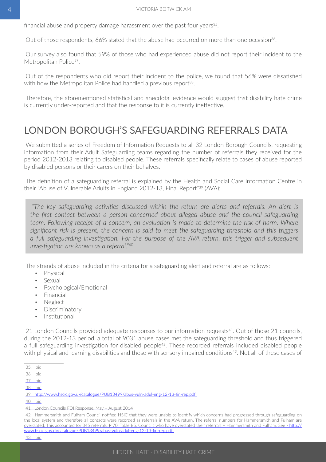<span id="page-5-0"></span>financial abuse and property damage harassment over the past four years<sup>35</sup>.

Out of those respondents, 66% stated that the abuse had occurred on more than one occasion<sup>36</sup>.

Our survey also found that 59% of those who had experienced abuse did not report their incident to the Metropolitan Police<sup>37</sup>.

Out of the respondents who did report their incident to the police, we found that 56% were dissatisfied with how the Metropolitan Police had handled a previous report<sup>38</sup>.

Therefore, the aforementioned statistical and anecdotal evidence would suggest that disability hate crime is currently under-reported and that the response to it is currently ineffective.

#### LONDON BOROUGH'S SAFEGUARDING REFERRALS DATA

We submitted a series of Freedom of Information Requests to all 32 London Borough Councils, requesting information from their Adult Safeguarding teams regarding the number of referrals they received for the period 2012-2013 relating to disabled people. These referrals specifically relate to cases of abuse reported by disabled persons or their carers on their behalves.

The definition of a safeguarding referral is explained by the Health and Social Care Information Centre in their "Abuse of Vulnerable Adults in England 2012-13, Final Report"<sup>39</sup> (AVA):

*"The key safeguarding activities discussed within the return are alerts and referrals. An alert is the first contact between a person concerned about alleged abuse and the council safeguarding team. Following receipt of a concern, an evaluation is made to determine the risk of harm. Where significant risk is present, the concern is said to meet the safeguarding threshold and this triggers a full safeguarding investigation. For the purpose of the AVA return, this trigger and subsequent investigation are known as a referral."*<sup>40</sup>

The strands of abuse included in the criteria for a safeguarding alert and referral are as follows:

- Physical
- Sexual
- Psychological/Emotional
- Financial
- Neglect
- Discriminatory
- Institutional

21 London Councils provided adequate responses to our information requests<sup>41</sup>. Out of those 21 councils, during the 2012-13 period, a total of 9031 abuse cases met the safeguarding threshold and thus triggered a full safeguarding investigation for disabled people<sup>42</sup>. These recorded referrals included disabled people with physical and learning disabilities and those with sensory impaired conditions<sup>43</sup>. Not all of these cases of

38.    Ibid

43.    Ibid

<sup>35.</sup> lbid

<sup>36.</sup> **Ibid** 

<sup>37.</sup> **Ibid** 

<sup>39.</sup><http://www.hscic.gov.uk/catalogue/PUB13499/abus-vuln-adul-eng-12-13-fin-rep.pdf>

<sup>40.</sup> Ibid

<sup>41.</sup> London Councils FOI Response, May – August 2014

<sup>42.</sup> Hammersmith and Fulham Council notified HSIC that they were unable to identify which concerns had progressed through safeguarding on the local system and therefore all contacts were recorded as referrals in the AVA return. The referral numbers for Hammersmith and Fulham are overstated. This accounted for 345 referrals. P 70, Table B5: Councils who have overstated their referrals – Hammersmith and Fulham. See - [http://](http://www.hscic.gov.uk/catalogue/PUB13499/abus-vuln-adul-eng-12-13-fin-rep.pdf) [www.hscic.gov.uk/catalogue/PUB13499/abus-vuln-adul-eng-12-13-fin-rep.pdf](http://www.hscic.gov.uk/catalogue/PUB13499/abus-vuln-adul-eng-12-13-fin-rep.pdf)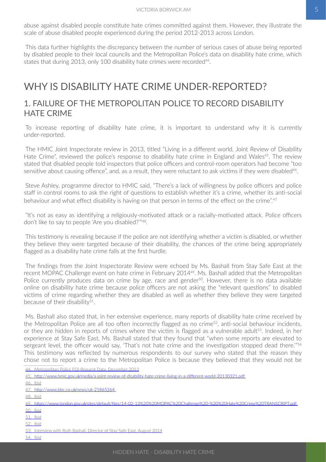<span id="page-6-0"></span>abuse against disabled people constitute hate crimes committed against them. However, they illustrate the scale of abuse disabled people experienced during the period 2012-2013 across London.

This data further highlights the discrepancy between the number of serious cases of abuse being reported by disabled people to their local councils and the Metropolitan Police's data on disability hate crime, which states that during 2013, only 100 disability hate crimes were recorded<sup>44</sup>.

### WHY IS DISABILITY HATE CRIME UNDER-REPORTED?

#### 1. FAILURE OF THE METROPOLITAN POLICE TO RECORD DISABILITY HATE CRIME

To increase reporting of disability hate crime, it is important to understand why it is currently under-reported.

The HMIC Joint Inspectorate review in 2013, titled "Living in a different world, Joint Review of Disability Hate Crime", reviewed the police's response to disability hate crime in England and Wales<sup>45</sup>. The review stated that disabled people told inspectors that police officers and control-room operators had become "too sensitive about causing offence", and, as a result, they were reluctant to ask victims if they were disabled<sup>46</sup>.

Steve Ashley, programme director to HMIC said, "There's a lack of willingness by police officers and police staff in control rooms to ask the right of questions to establish whether it's a crime, whether its anti-social behaviour and what effect disability is having on that person in terms of the effect on the crime".<sup>47</sup>

"It's not as easy as identifying a religiously-motivated attack or a racially-motivated attack. Police officers don't like to say to people 'Are you disabled?'"48.

This testimony is revealing because if the police are not identifying whether a victim is disabled, or whether they believe they were targeted because of their disability, the chances of the crime being appropriately flagged as a disability hate crime falls at the first hurdle.

The findings from the Joint Inspectorate Review were echoed by Ms. Bashall from Stay Safe East at the recent MOPAC Challenge event on hate crime in February 2014<sup>49</sup>. Ms. Bashall added that the Metropolitan Police currently produces data on crime by age, race and gender<sup>50</sup>. However, there is no data available online on disability hate crime because police officers are not asking the "relevant questions" to disabled victims of crime regarding whether they are disabled as well as whether they believe they were targeted because of their disability $51$ .

Ms. Bashall also stated that, in her extensive experience, many reports of disability hate crime received by the Metropolitan Police are all too often incorrectly flagged as no crime<sup>52</sup>, anti-social behaviour incidents, or they are hidden in reports of crimes where the victim is flagged as a vulnerable adult<sup>53</sup>. Indeed, in her experience at Stay Safe East, Ms. Bashall stated that they found that "when some reports are elevated to sergeant level, the officer would say, 'That's not hate crime and the investigation stopped dead there."<sup>54</sup> This testimony was reflected by numerous respondents to our survey who stated that the reason they chose not to report a crime to the Metropolitan Police is because they believed that they would not be

44. Metropolitan Police FOI Request Data, December 2013

45.<http://www.hmic.gov.uk/media/a-joint-review-of-disability-hate-crime-living-in-a-different-world-20130321.pdf>

46.    Ibid

47.<http://www.bbc.co.uk/news/uk-21865264>

48. **Ibid** 

50.    Ibid

51.    Ibid

52. **Ibid** 

54.    Ibid

<sup>49.</sup>[https://www.london.gov.uk/sites/default/files/14-02-13%20%20MOPAC%20Challenge%20-%20%20Hate%20Crime%20TRANSCRIPT.pdf](https://www.london.gov.uk/sites/default/files/14-02-13  MOPAC Challenge -  Hate Crime TRANSCRIPT.pdf)

<sup>53.</sup> Interview with Ruth Bashall, Director of Stay Safe Fast, August 2014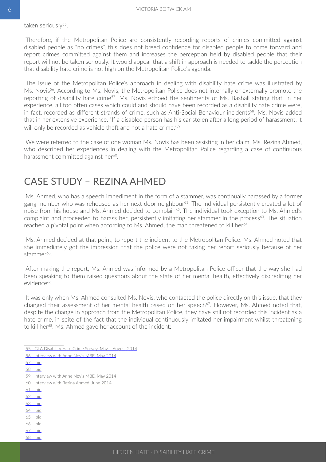<span id="page-7-0"></span>Therefore, if the Metropolitan Police are consistently recording reports of crimes committed against disabled people as "no crimes", this does not breed confidence for disabled people to come forward and report crimes committed against them and increases the perception held by disabled people that their report will not be taken seriously. It would appear that a shift in approach is needed to tackle the perception that disability hate crime is not high on the Metropolitan Police's agenda.

The issue of the Metropolitan Police's approach in dealing with disability hate crime was illustrated by Ms. Novis<sup>56</sup>. According to Ms. Novis, the Metropolitan Police does not internally or externally promote the reporting of disability hate crime<sup>57</sup>. Ms. Novis echoed the sentiments of Ms. Bashall stating that, in her experience, all too often cases which could and should have been recorded as a disability hate crime were, in fact, recorded as different strands of crime, such as Anti-Social Behaviour incidents<sup>58</sup>. Ms. Novis added that in her extensive experience, "If a disabled person has his car stolen after a long period of harassment, it will only be recorded as vehicle theft and not a hate crime."<sup>59</sup>

We were referred to the case of one woman Ms. Novis has been assisting in her claim, Ms. Rezina Ahmed, who described her experiences in dealing with the Metropolitan Police regarding a case of continuous harassment committed against her<sup>60</sup>.

### CASE STUDY – REZINA AHMED

Ms. Ahmed, who has a speech impediment in the form of a stammer, was continually harassed by a former gang member who was rehoused as her next door neighbour<sup>61</sup>. The individual persistently created a lot of noise from his house and Ms. Ahmed decided to complain<sup>62</sup>. The individual took exception to Ms. Ahmed's complaint and proceeded to harass her, persistently imitating her stammer in the process<sup>63</sup>. The situation reached a pivotal point when according to Ms. Ahmed, the man threatened to kill her<sup>64</sup>.

Ms. Ahmed decided at that point, to report the incident to the Metropolitan Police. Ms. Ahmed noted that she immediately got the impression that the police were not taking her report seriously because of her stammer<sup>65</sup>.

After making the report, Ms. Ahmed was informed by a Metropolitan Police officer that the way she had been speaking to them raised questions about the state of her mental health, effectively discrediting her evidence<sup>66</sup>.

It was only when Ms. Ahmed consulted Ms. Novis, who contacted the police directly on this issue, that they changed their assessment of her mental health based on her speech<sup>67</sup>. However, Ms. Ahmed noted that, despite the change in approach from the Metropolitan Police, they have still not recorded this incident as a hate crime, in spite of the fact that the individual continuously imitated her impairment whilst threatening to kill her<sup>68</sup>. Ms. Ahmed gave her account of the incident:

- 63.    Ibid
- 64.    Ibid
- 65.    Ibid
- 66.    Ibid 67.    Ibid
- 68.    Ibid

<sup>55.</sup> GLA Disability Hate Crime Survey, May – August 2014

<sup>56.</sup> Interview with Anne Novis MBE, May 2014

<sup>57.</sup> Ibid

<sup>58.</sup> Ibid

<sup>59.</sup> Interview with Anne Novis MBE, May 2014

<sup>60.</sup> Interview with Rezina Ahmed, June 2014

<sup>61.</sup> Ibid

<sup>62.</sup> Ibid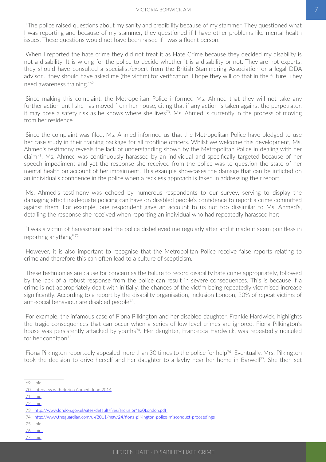"The police raised questions about my sanity and credibility because of my stammer. They questioned what I was reporting and because of my stammer, they questioned if I have other problems like mental health issues. These questions would not have been raised if I was a fluent person.

When I reported the hate crime they did not treat it as Hate Crime because they decided my disability is not a disability. It is wrong for the police to decide whether it is a disability or not. They are not experts; they should have consulted a specialist/expert from the British Stammering Association or a legal DDA advisor... they should have asked me (the victim) for verification. I hope they will do that in the future. They need awareness training."69

Since making this complaint, the Metropolitan Police informed Ms. Ahmed that they will not take any further action until she has moved from her house, citing that if any action is taken against the perpetrator, it may pose a safety risk as he knows where she lives<sup>70</sup>. Ms. Ahmed is currently in the process of moving from her residence.

Since the complaint was filed, Ms. Ahmed informed us that the Metropolitan Police have pledged to use her case study in their training package for all frontline officers. Whilst we welcome this development, Ms. Ahmed's testimony reveals the lack of understanding shown by the Metropolitan Police in dealing with her claim71. Ms. Ahmed was continuously harassed by an individual and specifically targeted because of her speech impediment and yet the response she received from the police was to question the state of her mental health on account of her impairment. This example showcases the damage that can be inflicted on an individual's confidence in the police when a reckless approach is taken in addressing their report.

Ms. Ahmed's testimony was echoed by numerous respondents to our survey, serving to display the damaging effect inadequate policing can have on disabled people's confidence to report a crime committed against them. For example, one respondent gave an account to us not too dissimilar to Ms. Ahmed's, detailing the response she received when reporting an individual who had repeatedly harassed her:

"I was a victim of harassment and the police disbelieved me regularly after and it made it seem pointless in reporting anything".72

However, it is also important to recognise that the Metropolitan Police receive false reports relating to crime and therefore this can often lead to a culture of scepticism.

These testimonies are cause for concern as the failure to record disability hate crime appropriately, followed by the lack of a robust response from the police can result in severe consequences. This is because if a crime is not appropriately dealt with initially, the chances of the victim being repeatedly victimised increase significantly. According to a report by the disability organisation, Inclusion London, 20% of repeat victims of anti-social behaviour are disabled people73.

For example, the infamous case of Fiona Pilkington and her disabled daughter, Frankie Hardwick, highlights the tragic consequences that can occur when a series of low-level crimes are ignored. Fiona Pilkington's house was persistently attacked by youths<sup>74</sup>. Her daughter, Francecca Hardwick, was repeatedly ridiculed for her condition<sup>75</sup>.

Fiona Pilkington reportedly appealed more than 30 times to the police for help<sup>76</sup>. Eventually, Mrs. Pilkington took the decision to drive herself and her daughter to a layby near her home in Barwell77. She then set

- 76.    Ibid
- 77.    Ibid

<sup>69.</sup> Ibid

<sup>70.</sup> Interview with Rezina Ahmed, June 2014

<sup>71.</sup> Ibid

<sup>72.</sup> Ibid

<sup>73.</sup>[http://www.london.gov.uk/sites/default/files/Inclusion%20London.pdf](http://www.london.gov.uk/sites/default/files/Inclusion London.pdf)

<sup>74.</sup><http://www.theguardian.com/uk/2011/may/24/fiona-pilkington-police-misconduct-proceedings>

<sup>75.</sup> Ibid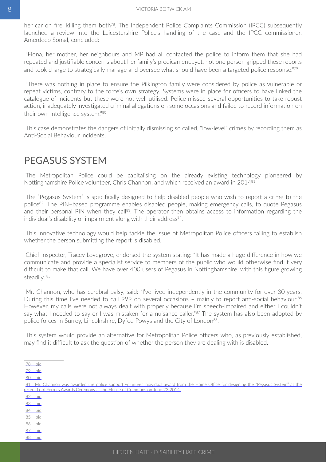<span id="page-9-0"></span>her car on fire, killing them both<sup>78</sup>. The Independent Police Complaints Commission (IPCC) subsequently launched a review into the Leicestershire Police's handling of the case and the IPCC commissioner, Amerdeep Somal, concluded:

"Fiona, her mother, her neighbours and MP had all contacted the police to inform them that she had repeated and justifiable concerns about her family's predicament…yet, not one person gripped these reports and took charge to strategically manage and oversee what should have been a targeted police response."<sup>79</sup>

"There was nothing in place to ensure the Pilkington family were considered by police as vulnerable or repeat victims, contrary to the force's own strategy. Systems were in place for officers to have linked the catalogue of incidents but these were not well utilised. Police missed several opportunities to take robust action, inadequately investigated criminal allegations on some occasions and failed to record information on their own intelligence system."80

This case demonstrates the dangers of initially dismissing so called, "low-level" crimes by recording them as Anti-Social Behaviour incidents.

### PEGASUS SYSTEM

The Metropolitan Police could be capitalising on the already existing technology pioneered by Nottinghamshire Police volunteer, Chris Channon, and which received an award in 201481.

The "Pegasus System" is specifically designed to help disabled people who wish to report a crime to the police82. The PIN–based programme enables disabled people, making emergency calls, to quote Pegasus and their personal PIN when they call<sup>83</sup>. The operator then obtains access to information regarding the individual's disability or impairment along with their address $84$ .

This innovative technology would help tackle the issue of Metropolitan Police officers failing to establish whether the person submitting the report is disabled.

Chief Inspector, Tracey Lovegrove, endorsed the system stating: "It has made a huge difference in how we communicate and provide a specialist service to members of the public who would otherwise find it very difficult to make that call. We have over 400 users of Pegasus in Nottinghamshire, with this figure growing steadily."85

Mr. Channon, who has cerebral palsy, said: "I've lived independently in the community for over 30 years. During this time I've needed to call 999 on several occasions - mainly to report anti-social behaviour.<sup>86</sup> However, my calls were not always dealt with properly because I'm speech-impaired and either I couldn't say what I needed to say or I was mistaken for a nuisance caller."<sup>87</sup> The system has also been adopted by police forces in Surrey, Lincolnshire, Dyfed Powys and the City of London<sup>88</sup>.

This system would provide an alternative for Metropolitan Police officers who, as previously established, may find it difficult to ask the question of whether the person they are dealing with is disabled.

<sup>80.</sup> Ibid

| 81. Mr. Channon was awarded the police support volunteer individual award from the Home Office for designing the "Pegasus System" at the |
|------------------------------------------------------------------------------------------------------------------------------------------|
| recent Lord Ferrers Awards Ceremony at the House of Commons on June 23 2014.                                                             |
| 82. Ibid                                                                                                                                 |
| 83. Ibid                                                                                                                                 |
| 84. Ibid                                                                                                                                 |
| 85. Ibid                                                                                                                                 |
| 86. Ibid                                                                                                                                 |
| 87. Ibid                                                                                                                                 |
| 88 Ibid                                                                                                                                  |

<sup>78.</sup> Ibid

<sup>79.</sup> Ibid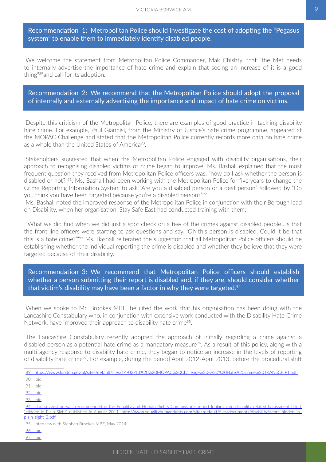Recommendation 1: Metropolitan Police should investigate the cost of adopting the "Pegasus system" to enable them to immediately identify disabled people.

We welcome the statement from Metropolitan Police Commander, Mak Chishty, that "the Met needs to internally advertise the importance of hate crime and explain that seeing an increase of it is a good thing"89and call for its adoption.

Recommendation 2: We recommend that the Metropolitan Police should adopt the proposal of internally and externally advertising the importance and impact of hate crime on victims.

Despite this criticism of the Metropolitan Police, there are examples of good practice in tackling disability hate crime. For example, Paul Giannisi, from the Ministry of Justice's hate crime programme, appeared at the MOPAC Challenge and stated that the Metropolitan Police currently records more data on hate crime as a whole than the United States of America<sup>90</sup>.

Stakeholders suggested that when the Metropolitan Police engaged with disability organisations, their approach to recognising disabled victims of crime began to improve. Ms. Bashall explained that the most frequent question they received from Metropolitan Police officers was, "how do I ask whether the person is disabled or not?"91. Ms. Bashall had been working with the Metropolitan Police for five years to change the Crime Reporting Information System to ask "Are you a disabled person or a deaf person" followed by "Do you think you have been targeted because you're a disabled person?"92

Ms. Bashall noted the improved response of the Metropolitan Police in conjunction with their Borough lead on Disability, when her organisation, Stay Safe East had conducted training with them:

"What we did find when we did just a spot check on a few of the crimes against disabled people…is that the front line officers were starting to ask questions and say, 'Oh this person is disabled. Could it be that this is a hate crime?'"93 Ms. Bashall reiterated the suggestion that all Metropolitan Police officers should be establishing whether the individual reporting the crime is disabled and whether they believe that they were targeted because of their disability.

Recommendation 3: We recommend that Metropolitan Police officers should establish whether a person submitting their report is disabled and, if they are, should consider whether that victim's disability may have been a factor in why they were targeted. $94$ 

When we spoke to Mr. Brookes MBE, he cited the work that his organisation has been doing with the Lancashire Constabulary who, in conjunction with extensive work conducted with the Disability Hate Crime Network, have improved their approach to disability hate crime<sup>95</sup>.

The Lancashire Constabulary recently adopted the approach of initially regarding a crime against a disabled person as a potential hate crime as a mandatory measure<sup>96</sup>. As a result of this policy, along with a multi-agency response to disability hate crime, they began to notice an increase in the levels of reporting of disability hate crime<sup>97</sup>. For example, during the period April 2012-April 2013, before the procedural shift

89.[https://www.london.gov.uk/sites/default/files/14-02-13%20%20MOPAC%20Challenge%20-%20%20Hate%20Crime%20TRANSCRIPT.pdf](https://www.london.gov.uk/sites/default/files/14-02-13  MOPAC Challenge -  Hate Crime TRANSCRIPT.pdf)

90.    Ibid

91. lbid

92. **Ibid** 

93. **Ibid** 

This suggestion was recommended in the Equality and Human Rights Commission's report looking into disability related harassment titled, "Hidden in Plain Sight" published in August 2011, [http://www.equalityhumanrights.com/sites/default/files/documents/disabilityfi/ehrc\\_hidden\\_in\\_](http://www.equalityhumanrights.com/sites/default/files/documents/disabilityfi/ehrc_hidden_in_plain_sight_3.pdf) [plain\\_sight\\_3.pdf](http://www.equalityhumanrights.com/sites/default/files/documents/disabilityfi/ehrc_hidden_in_plain_sight_3.pdf)

95. Interview with Stephen Brookes MBE, May 2014

96.    Ibid

97.    Ibid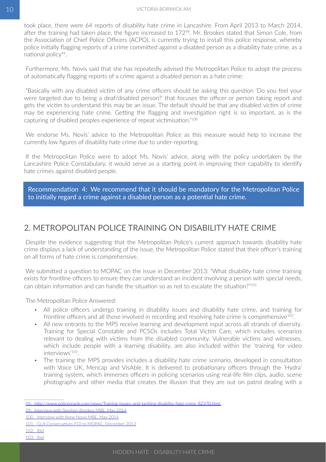<span id="page-11-0"></span>took place, there were 64 reports of disability hate crime in Lancashire. From April 2013 to March 2014, after the training had taken place, the figure increased to 172<sup>98</sup>. Mr. Brookes stated that Simon Cole, from the Association of Chief Police Officers (ACPO), is currently trying to install this police response, whereby police initially flagging reports of a crime committed against a disabled person as a disability hate crime, as a national policy<sup>99</sup>.

Furthermore, Ms. Novis said that she has repeatedly advised the Metropolitan Police to adopt the process of automatically flagging reports of a crime against a disabled person as a hate crime:

"Basically with any disabled victim of any crime officers should be asking this question 'Do you feel your were targeted due to being a deaf/disabled person?' that focuses the officer or person taking report and gets the victim to understand this may be an issue. The default should be that any disabled victim of crime may be experiencing hate crime. Getting the flagging and investigation right is so important, as is the capturing of disabled peoples experience of repeat victimisation."100

We endorse Ms. Novis' advice to the Metropolitan Police as this measure would help to increase the currently low figures of disability hate crime due to under-reporting.

If the Metropolitan Police were to adopt Ms. Novis' advice, along with the policy undertaken by the Lancashire Police Constabulary, it would serve as a starting point in improving their capability to identify hate crimes against disabled people.

Recommendation 4: We recommend that it should be mandatory for the Metropolitan Police to initially regard a crime against a disabled person as a potential hate crime.

#### 2. METROPOLITAN POLICE TRAINING ON DISABILITY HATE CRIME

Despite the evidence suggesting that the Metropolitan Police's current approach towards disability hate crime displays a lack of understanding of the issue, the Metropolitan Police stated that their officer's training on all forms of hate crime is comprehensive.

We submitted a question to MOPAC on the issue in December 2013: "What disability hate crime training exists for frontline officers to ensure they can understand an incident involving a person with special needs, can obtain information and can handle the situation so as not to escalate the situation?"101

The Metropolitan Police Answered:

- All police officers undergo training in disability issues and disability hate crime, and training for frontline officers and all those involved in recording and resolving hate crime is comprehensive<sup>102</sup>.
- All new entrants to the MPS receive learning and development input across all strands of diversity. Training for Special Constable and PCSOs includes Total Victim Care, which includes scenarios relevant to dealing with victims from the disabled community. Vulnerable victims and witnesses, which include people with a learning disability, are also included within the 'training for video interviews'103.
- The training the MPS provides includes a disability hate crime scenario, developed in consultation with Voice UK, Mencap and VisAble. It is delivered to probationary officers through the 'Hydra' training system, which immerses officers in policing scenarios using real-life film clips, audio, scene photographs and other media that creates the illusion that they are out on patrol dealing with a

<sup>98.</sup>[http://www.policeoracle.com/news/Training-issues,-and-tackling-disability-hate-crime\\_82370.html](http://www.policeoracle.com/news/Training-issues,-and-tackling-disability-hate-crime_82370.html)

<sup>99.</sup> Interview with Stephen Brookes MBE, May 2014

<sup>100.</sup> Interview with Anne Novis MBE, May 2014

<sup>101.</sup> GLA Conservatives FOI to MOPAC, December 2013

<sup>102.</sup> lbid

<sup>103.</sup> Ibid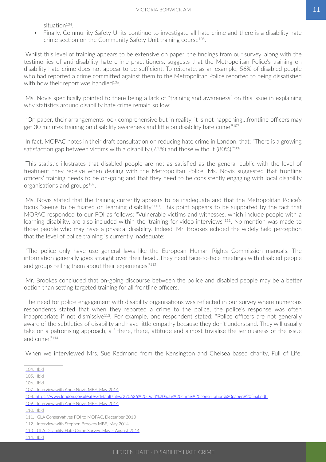situation<sup>104</sup>.

• Finally, Community Safety Units continue to investigate all hate crime and there is a disability hate crime section on the Community Safety Unit training course<sup>105</sup>.

Whilst this level of training appears to be extensive on paper, the findings from our survey, along with the testimonies of anti-disability hate crime practitioners, suggests that the Metropolitan Police's training on disability hate crime does not appear to be sufficient. To reiterate, as an example, 56% of disabled people who had reported a crime committed against them to the Metropolitan Police reported to being dissatisfied with how their report was handled<sup>106</sup>.

Ms. Novis specifically pointed to there being a lack of "training and awareness" on this issue in explaining why statistics around disability hate crime remain so low:

"On paper, their arrangements look comprehensive but in reality, it is not happening…frontline officers may get 30 minutes training on disability awareness and little on disability hate crime."107

In fact, MOPAC notes in their draft consultation on reducing hate crime in London, that: "There is a growing satisfaction gap between victims with a disability (73%) and those without (80%)."<sup>108</sup>

This statistic illustrates that disabled people are not as satisfied as the general public with the level of treatment they receive when dealing with the Metropolitan Police. Ms. Novis suggested that frontline officers' training needs to be on-going and that they need to be consistently engaging with local disability organisations and groups<sup>109</sup>.

Ms. Novis stated that the training currently appears to be inadequate and that the Metropolitan Police's focus "seems to be fixated on learning disability"110. This point appears to be supported by the fact that MOPAC responded to our FOI as follows: "Vulnerable victims and witnesses, which include people with a learning disability, are also included within the 'training for video interviews"<sup>111</sup>. No mention was made to those people who may have a physical disability. Indeed, Mr. Brookes echoed the widely held perception that the level of police training is currently inadequate:

"The police only have use general laws like the European Human Rights Commission manuals. The information generally goes straight over their head…They need face-to-face meetings with disabled people and groups telling them about their experiences."<sup>112</sup>

Mr. Brookes concluded that on-going discourse between the police and disabled people may be a better option than setting targeted training for all frontline officers.

The need for police engagement with disability organisations was reflected in our survey where numerous respondents stated that when they reported a crime to the police, the police's response was often inappropriate if not dismissive<sup>113</sup>. For example, one respondent stated: "Police officers are not generally aware of the subtleties of disability and have little empathy because they don't understand. They will usually take on a patronising approach, a ' there, there,' attitude and almost trivialise the seriousness of the issue and crime."114

When we interviewed Mrs. Sue Redmond from the Kensington and Chelsea based charity, Full of Life,

<sup>104.</sup> lbid

<sup>105.</sup> Ibid

<sup>106.</sup> Ibid

<sup>107.</sup> Interview with Anne Novis MBE, May 2014

<sup>108.</sup>[https://www.london.gov.uk/sites/default/files/270626%20Draft%20hate%20crime%20consultation%20paper%20final.pdf](https://www.london.gov.uk/sites/default/files/270626 Draft hate crime consultation paper final.pdf)

<sup>109.</sup> Interview with Anne Novis MBE, May 2014

<sup>110.</sup> Ibid

<sup>111.</sup> GLA Conservatives FOI to MOPAC, December 2013

<sup>112.</sup> Interview with Stephen Brookes MBE, May 2014

<sup>113.</sup> GLA Disability Hate Crime Survey, May – August 2014

<sup>114.</sup> Ibid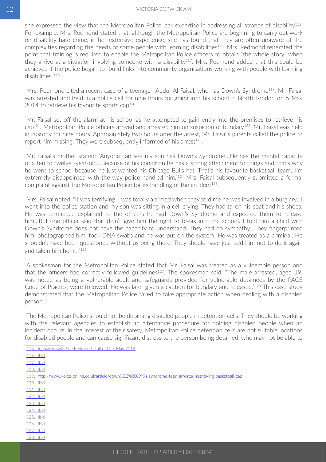she expressed the view that the Metropolitan Police lack expertise in addressing all strands of disability115. For example, Mrs. Redmond stated that, although the Metropolitan Police are beginning to carry out work on disability hate crime, in her extensive experience, she has found that they are often unaware of the complexities regarding the needs of some people with learning disabilities<sup>116</sup>. Mrs. Redmond reiterated the point that training is required to enable the Metropolitan Police officers to obtain "the whole story" when they arrive at a situation involving someone with a disability<sup>117</sup>. Mrs. Redmond added that this could be achieved if the police began to "build links into community organisations working with people with learning disabilities"118.

Mrs. Redmond cited a recent case of a teenager, Abdul-Al Faisal, who has Down's Syndrome<sup>119</sup>. Mr. Faisal was arrested and held in a police cell for nine hours for going into his school in North London on 5 May 2014 to retrieve his favourite sports cap $120$ .

Mr. Faisal set off the alarm at his school as he attempted to gain entry into the premises to retrieve his  $cap^{121}$ . Metropolitan Police officers arrived and arrested him on suspicion of burglary<sup>122</sup>. Mr. Faisal was held in custody for nine hours. Approximately two hours after the arrest, Mr. Faisal's parents called the police to report him missing. They were subsequently informed of his arrest<sup>123</sup>.

Mr. Faisal's mother stated: "Anyone can see my son has Down's Syndrome…He has the mental capacity of a ten to twelve -year-old…Because of his condition he has a strong attachment to things and that's why he went to school because he just wanted his Chicago Bulls hat. That's his favourite basketball team…I'm extremely disappointed with the way police handled him."<sup>124</sup> Mrs. Faisal subsequently submitted a formal complaint against the Metropolitan Police for its handling of the incident<sup>125</sup>.

Mrs. Faisal noted, "It was terrifying. I was totally alarmed when they told me he was involved in a burglary…I went into the police station and my son was sitting in a cell crying. They had taken his coat and his shoes. He was terrified…I explained to the officers he had Down's Syndrome and expected them to release him…But one officer said that didn't give him the right to break into the school. I told him a child with Down's Syndrome does not have the capacity to understand. They had no sympathy…They fingerprinted him, photographed him, took DNA swabs and he was put on the system. He was treated as a criminal. He shouldn't have been questioned without us being there. They should have just told him not to do it again and taken him home."126

A spokesman for the Metropolitan Police stated that Mr. Faisal was treated as a vulnerable person and that the officers had correctly followed guidelines<sup>127</sup>. The spokesman said: "The male arrested, aged 19, was noted as being a vulnerable adult and safeguards provided for vulnerable detainees by the PACE Code of Practice were followed. He was later given a caution for burglary and released."<sup>128</sup> This case study demonstrated that the Metropolitan Police failed to take appropriate action when dealing with a disabled person.

The Metropolitan Police should not be detaining disabled people in detention cells. They should be working with the relevant agencies to establish an alternative procedure for holding disabled people when an incident occurs. In the interest of their safety, Metropolitan Police detention cells are not suitable locations for disabled people and can cause significant distress to the person being detained, who may not be able to

115. Interview with Sue Redmond, Full of Life, May 2014

116. lbid

117.    Ibid

118.    Ibid

119.<http://www.voice-online.co.uk/article/down%E2%80%99s-syndrome-teen-arrested-retrieving-basketball-cap>

120.    Ibid 121.    Ibid 122.    Ibid 123.    Ibid

- 124.    Ibid
- 125. lbid 126. **Ibid**
- 127.    Ibid

128. lbid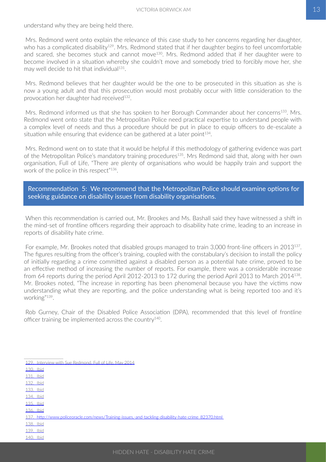understand why they are being held there.

Mrs. Redmond went onto explain the relevance of this case study to her concerns regarding her daughter, who has a complicated disability<sup>129</sup>. Mrs. Redmond stated that if her daughter begins to feel uncomfortable and scared, she becomes stuck and cannot move<sup>130</sup>. Mrs. Redmond added that if her daughter were to become involved in a situation whereby she couldn't move and somebody tried to forcibly move her, she may well decide to hit that individual<sup>131</sup>.

Mrs. Redmond believes that her daughter would be the one to be prosecuted in this situation as she is now a young adult and that this prosecution would most probably occur with little consideration to the provocation her daughter had received<sup>132</sup>.

Mrs. Redmond informed us that she has spoken to her Borough Commander about her concerns<sup>133</sup>. Mrs. Redmond went onto state that the Metropolitan Police need practical expertise to understand people with a complex level of needs and thus a procedure should be put in place to equip officers to de-escalate a situation while ensuring that evidence can be gathered at a later point<sup>134</sup>.

Mrs. Redmond went on to state that it would be helpful if this methodology of gathering evidence was part of the Metropolitan Police's mandatory training procedures<sup>135</sup>. Mrs Redmond said that, along with her own organisation, Full of Life, "There are plenty of organisations who would be happily train and support the work of the police in this respect"<sup>136</sup>.

Recommendation 5: We recommend that the Metropolitan Police should examine options for seeking guidance on disability issues from disability organisations.

When this recommendation is carried out, Mr. Brookes and Ms. Bashall said they have witnessed a shift in the mind-set of frontline officers regarding their approach to disability hate crime, leading to an increase in reports of disability hate crime.

For example, Mr. Brookes noted that disabled groups managed to train 3,000 front-line officers in 2013<sup>137</sup>. The figures resulting from the officer's training, coupled with the constabulary's decision to install the policy of initially regarding a crime committed against a disabled person as a potential hate crime, proved to be an effective method of increasing the number of reports. For example, there was a considerable increase from 64 reports during the period April 2012-2013 to 172 during the period April 2013 to March 2014138. Mr. Brookes noted, "The increase in reporting has been phenomenal because you have the victims now understanding what they are reporting, and the police understanding what is being reported too and it's working"139.

Rob Gurney, Chair of the Disabled Police Association (DPA), recommended that this level of frontline officer training be implemented across the country140.

- 129. Interview with Sue Redmond, Full of Life, May 2014
- 130. lbid
- 131.    Ibid
- 132.    Ibid
- 133.    Ibid
- 134.    Ibid 135.    Ibid
- 136.    Ibid
- 137.[http://www.policeoracle.com/news/Training-issues,-and-tackling-disability-hate-crime\\_82370.html](http://www.policeoracle.com/news/Training-issues,-and-tackling-disability-hate-crime_82370.html)
- 138. **bid**
- 139.    Ibid
- 140. lbid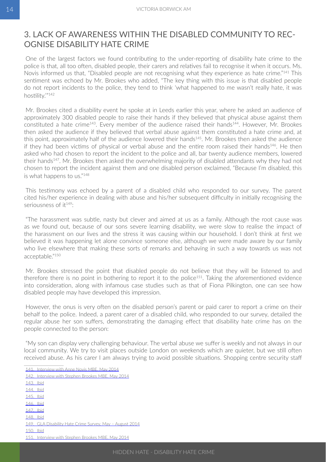#### <span id="page-15-0"></span>3. LACK OF AWARENESS WITHIN THE DISABLED COMMUNITY TO REC-OGNISE DISABILITY HATE CRIME

One of the largest factors we found contributing to the under-reporting of disability hate crime to the police is that, all too often, disabled people, their carers and relatives fail to recognise it when it occurs. Ms. Novis informed us that, "Disabled people are not recognising what they experience as hate crime."141 This sentiment was echoed by Mr. Brookes who added, "The key thing with this issue is that disabled people do not report incidents to the police, they tend to think 'what happened to me wasn't really hate, it was hostility.'"142

Mr. Brookes cited a disability event he spoke at in Leeds earlier this year, where he asked an audience of approximately 300 disabled people to raise their hands if they believed that physical abuse against them constituted a hate crime<sup>143</sup>. Every member of the audience raised their hands<sup>144</sup>. However, Mr. Brookes then asked the audience if they believed that verbal abuse against them constituted a hate crime and, at this point, approximately half of the audience lowered their hands<sup>145</sup>. Mr. Brookes then asked the audience if they had been victims of physical or verbal abuse and the entire room raised their hands<sup>146</sup>. He then asked who had chosen to report the incident to the police and all, bar twenty audience members, lowered their hands<sup>147</sup>. Mr. Brookes then asked the overwhelming majority of disabled attendants why they had not chosen to report the incident against them and one disabled person exclaimed, "Because I'm disabled, this is what happens to us."148

This testimony was echoed by a parent of a disabled child who responded to our survey. The parent cited his/her experience in dealing with abuse and his/her subsequent difficulty in initially recognising the seriousness of it149:

"The harassment was subtle, nasty but clever and aimed at us as a family. Although the root cause was as we found out, because of our sons severe learning disability, we were slow to realise the impact of the harassment on our lives and the stress it was causing within our household. I don't think at first we believed it was happening let alone convince someone else, although we were made aware by our family who live elsewhere that making these sorts of remarks and behaving in such a way towards us was not acceptable<sup>"150</sup>

Mr. Brookes stressed the point that disabled people do not believe that they will be listened to and therefore there is no point in bothering to report it to the police<sup>151</sup>. Taking the aforementioned evidence into consideration, along with infamous case studies such as that of Fiona Pilkington, one can see how disabled people may have developed this impression.

However, the onus is very often on the disabled person's parent or paid carer to report a crime on their behalf to the police. Indeed, a parent carer of a disabled child, who responded to our survey, detailed the regular abuse her son suffers, demonstrating the damaging effect that disability hate crime has on the people connected to the person:

"My son can display very challenging behaviour. The verbal abuse we suffer is weekly and not always in our local community. We try to visit places outside London on weekends which are quieter, but we still often received abuse. As his carer I am always trying to avoid possible situations. Shopping centre security staff

142.    Interview with Stephen Brookes MBE, May 2014 143.    Ibid 144.    Ibid 145.    Ibid 146.    Ibid 147.    Ibid 148. lbid 149.    GLA Disability Hate Crime Survey, May – August 2014 150.    Ibid 151. Interview with Stephen Brookes MBE, May 2014

<sup>141.</sup> Interview with Anne Novis MBE, May 2014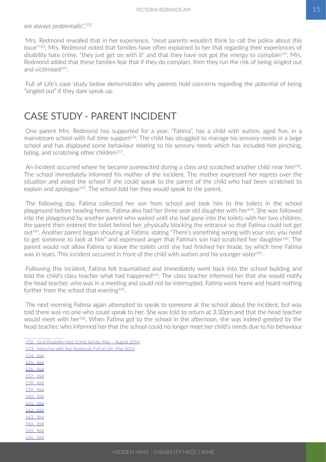<span id="page-16-0"></span>Mrs. Redmond revealed that in her experience, "most parents wouldn't think to call the police about this issue"153. Mrs. Redmond noted that families have often explained to her that regarding their experiences of disability hate crime, "they just get on with it" and that they have not got the energy to complain<sup>154</sup>. Mrs. Redmond added that these families fear that if they do complain, then they run the risk of being singled out and victimised<sup>155</sup>.

Full of Life's case study below demonstrates why parents hold concerns regarding the potential of being "singled out" if they dare speak up.

### CASE STUDY - PARENT INCIDENT

One parent Mrs. Redmond has supported for a year, "Fatima", has a child with autism, aged five, in a mainstream school with full time support<sup>156</sup>. The child has struggled to manage his sensory needs in a large school and has displayed some behaviour relating to his sensory needs which has included him pinching, biting, and scratching other children<sup>157</sup>.

An incident occurred where he became overexcited during a class and scratched another child near him<sup>158</sup>. The school immediately informed his mother of the incident. The mother expressed her regrets over the situation and asked the school if she could speak to the parent of the child who had been scratched to explain and apologise<sup>159</sup>. The school told her they would speak to the parent.

The following day, Fatima collected her son from school and took him to the toilets in the school playground before heading home. Fatima also had her three year old daughter with her<sup>160</sup>. She was followed into the playground by another parent who waited until she had gone into the toilets with her two children, the parent then entered the toilet behind her, physically blocking the entrance so that Fatima could not get out<sup>161</sup>. Another parent began shouting at Fatima, stating "There's something wrong with your son, you need to get someone to look at him" and expressed anger that Fatima's son had scratched her daughter<sup>162</sup>. The parent would not allow Fatima to leave the toilets until she had finished her tirade, by which time Fatima was in tears. This incident occurred in front of the child with autism and his younger sister<sup>163</sup>.

Following this incident, Fatima felt traumatised and immediately went back into the school building and told the child's class teacher what had happened<sup>164</sup>. The class teacher informed her that she would notify the head teacher, who was in a meeting and could not be interrupted. Fatima went home and heard nothing further from the school that evening<sup>165</sup>.

The next morning Fatima again attempted to speak to someone at the school about the incident, but was told there was no one who could speak to her. She was told to return at 3.30pm and that the head teacher would meet with her<sup>166</sup>. When Fatima got to the school in the afternoon, she was indeed greeted by the head teacher, who informed her that the school could no longer meet her child's needs due to his behaviour

- 152.    GLA Disability Hate Crime Survey, May August 2014
- 153.    Interview with Sue Redmond, Full of Life, May 2014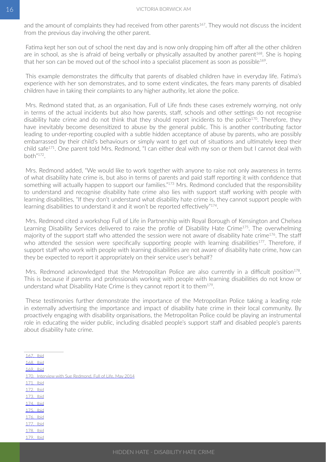and the amount of complaints they had received from other parents<sup>167</sup>. They would not discuss the incident from the previous day involving the other parent.

Fatima kept her son out of school the next day and is now only dropping him off after all the other children are in school, as she is afraid of being verbally or physically assaulted by another parent<sup>168</sup>. She is hoping that her son can be moved out of the school into a specialist placement as soon as possible<sup>169</sup>.

This example demonstrates the difficulty that parents of disabled children have in everyday life. Fatima's experience with her son demonstrates, and to some extent vindicates, the fears many parents of disabled children have in taking their complaints to any higher authority, let alone the police.

Mrs. Redmond stated that, as an organisation, Full of Life finds these cases extremely worrying, not only in terms of the actual incidents but also how parents, staff, schools and other settings do not recognise disability hate crime and do not think that they should report incidents to the police<sup>170</sup>. Therefore, they have inevitably become desensitized to abuse by the general public. This is another contributing factor leading to under-reporting coupled with a subtle hidden acceptance of abuse by parents, who are possibly embarrassed by their child's behaviours or simply want to get out of situations and ultimately keep their child safe<sup>171</sup>. One parent told Mrs. Redmond, "I can either deal with my son or them but I cannot deal with  $h$ <sup> $n$  $172$ </sup>

Mrs. Redmond added, "We would like to work together with anyone to raise not only awareness in terms of what disability hate crime is, but also in terms of parents and paid staff reporting it with confidence that something will actually happen to support our families."<sup>173</sup> Mrs. Redmond concluded that the responsibility to understand and recognise disability hate crime also lies with support staff working with people with learning disabilities, "If they don't understand what disability hate crime is, they cannot support people with learning disabilities to understand it and it won't be reported effectively"<sup>174</sup>.

Mrs. Redmond cited a workshop Full of Life in Partnership with Royal Borough of Kensington and Chelsea Learning Disability Services delivered to raise the profile of Disability Hate Crime<sup>175</sup>. The overwhelming majority of the support staff who attended the session were not aware of disability hate crime<sup>176</sup>. The staff who attended the session were specifically supporting people with learning disabilities<sup>177</sup>. Therefore, if support staff who work with people with learning disabilities are not aware of disability hate crime, how can they be expected to report it appropriately on their service user's behalf?

Mrs. Redmond acknowledged that the Metropolitan Police are also currently in a difficult position<sup>178</sup>. This is because if parents and professionals working with people with learning disabilities do not know or understand what Disability Hate Crime is they cannot report it to them<sup>179</sup>.

These testimonies further demonstrate the importance of the Metropolitan Police taking a leading role in externally advertising the importance and impact of disability hate crime in their local community. By proactively engaging with disability organisations, the Metropolitan Police could be playing an instrumental role in educating the wider public, including disabled people's support staff and disabled people's parents about disability hate crime.

- 167.    Ibid
- 168.    Ibid
- 169.    Ibid
- 170 Interview with Sue Redmond, Full of Life, May 2014
- 171. **Ibid**
- 172.    Ibid
- 173.    Ibid
- 174.    Ibid
- 175.    Ibid
- 176.    Ibid
- 177.    Ibid
- 178.    Ibid 179.    Ibid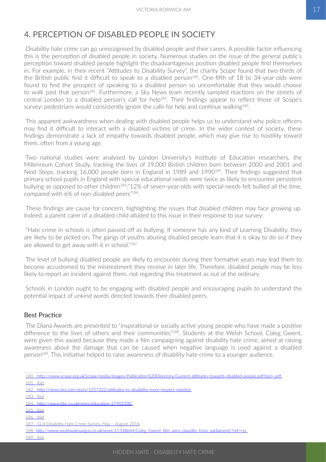### <span id="page-18-0"></span>4. PERCEPTION OF DISABLED PEOPLE IN SOCIETY

Disability hate crime can go unrecognised by disabled people and their carers. A possible factor influencing this is the perception of disabled people in society. Numerous studies on the issue of the general public's perception toward disabled people highlight the disadvantageous position disabled people find themselves in. For example, in their recent "Attitudes to Disability Survey", the charity Scope found that two-thirds of the British public find it difficult to speak to a disabled person<sup>180</sup>. One-fifth of 18 to 34-year-olds were found to find the prospect of speaking to a disabled person so uncomfortable that they would choose to walk past that person<sup>181</sup>. Furthermore, a Sky News team recently sampled reactions on the streets of central London to a disabled person's call for help<sup>182</sup>. Their findings appear to reflect those of Scope's survey: pedestrians would consistently ignore the calls for help and continue walking<sup>183</sup>.

This apparent awkwardness when dealing with disabled people helps us to understand why police officers may find it difficult to interact with a disabled victims of crime. In the wider context of society, these findings demonstrate a lack of empathy towards disabled people, which may give rise to hostility toward them, often from a young age.

Two national studies were analysed by London University's Institute of Education researchers, the Millennium Cohort Study, tracking the lives of 19,000 British children born between 2000 and 2001 and Next Steps, tracking 16,000 people born in England in 1989 and 1990<sup>184</sup>. Their findings suggested that primary school pupils in England with special educational needs were twice as likely to encounter persistent bullying as opposed to other children<sup>185</sup>:"12% of seven-year-olds with special needs felt bullied all the time, compared with 6% of non-disabled peers"186.

These findings are cause for concern, highlighting the issues that disabled children may face growing up. Indeed, a parent carer of a disabled child alluded to this issue in their response to our survey:

"Hate crime in schools is often passed off as bullying. If someone has any kind of Learning Disability, they are likely to be picked on. The gangs of youths abusing disabled people learn that it is okay to do so if they are allowed to get away with it in school."187

The level of bullying disabled people are likely to encounter during their formative years may lead them to become accustomed to the mistreatment they receive in later life. Therefore, disabled people may be less likely to report an incident against them, not regarding this treatment as out of the ordinary.

Schools in London ought to be engaging with disabled people and encouraging pupils to understand the potential impact of unkind words directed towards their disabled peers.

#### Best Practice

The Diana Awards are presented to "inspirational or socially active young people who have made a positive difference to the lives of others and their communities"<sup>188</sup>. Students at the Welsh School, Coleg Gwent, were given this award because they made a film campaigning against disability hate crime, aimed at raising awareness about the damage that can be caused when negative language is used against a disabled person<sup>189</sup>. This initiative helped to raise awareness of disability hate crime to a younger audience.

183.    Ibid

- 185.    Ibid
- 186.    Ibid

189.    Ibid

<sup>180.</sup>http://www.scope.org.uk/Scope/media/Images/Publication%20Directory/Current-attitudes-towards-disabled-people.pdf?ext=.pdf 181.    Ibid

<sup>182.</sup><http://news.sky.com/story/1257322/attitudes-to-disability-more-respect-needed>

<sup>184.</sup> http://www.bbc.co.uk/news/education-27902500

<sup>187.</sup> GLA Disability Hate Crime Survey, May - August 2014

<sup>188.</sup>[http://www.southwalesargus.co.uk/news/11338644.Coleg\\_Gwent\\_film\\_wins\\_plaudits\\_from\\_parliament/?ref=rss](http://www.southwalesargus.co.uk/news/11338644.Coleg_Gwent_film_wins_plaudits_from_parliament/?ref=rss)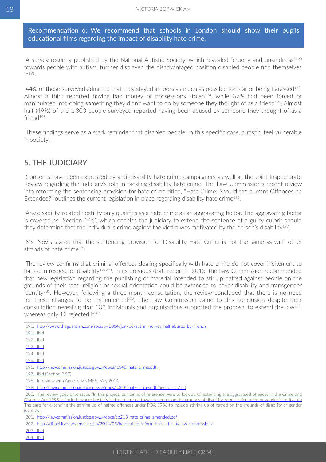<span id="page-19-0"></span>Recommendation 6: We recommend that schools in London should show their pupils educational films regarding the impact of disability hate crime.

A survey recently published by the National Autistic Society, which revealed "cruelty and unkindness"190 towards people with autism, further displayed the disadvantaged position disabled people find themselves  $in^{191}$ .

44% of those surveyed admitted that they stayed indoors as much as possible for fear of being harassed $192$ . Almost a third reported having had money or possessions stolen<sup>193</sup>, while 37% had been forced or manipulated into doing something they didn't want to do by someone they thought of as a friend<sup>194</sup>. Almost half (49%) of the 1,300 people surveyed reported having been abused by someone they thought of as a friend195.

These findings serve as a stark reminder that disabled people, in this specific case, autistic, feel vulnerable in society.

#### 5. THE JUDICIARY

Concerns have been expressed by anti-disability hate crime campaigners as well as the Joint Inspectorate Review regarding the judiciary's role in tackling disability hate crime. The Law Commission's recent review into reforming the sentencing provision for hate crime titled, "Hate Crime: Should the current Offences be Extended?" outlines the current legislation in place regarding disability hate crime<sup>196</sup>.

Any disability-related hostility only qualifies as a hate crime as an aggravating factor. The aggravating factor is covered as "Section 146", which enables the judiciary to extend the sentence of a guilty culprit should they determine that the individual's crime against the victim was motivated by the person's disability<sup>197</sup>.

Ms. Novis stated that the sentencing provision for Disability Hate Crime is not the same as with other strands of hate crime<sup>198</sup>.

The review confirms that criminal offences dealing specifically with hate crime do not cover incitement to hatred in respect of disability<sup>199200</sup>. In its previous draft report in 2013, the Law Commission recommended that new legislation regarding the publishing of material intended to stir up hatred against people on the grounds of their race, religion or sexual orientation could be extended to cover disability and transgender identity<sup>201</sup>. However, following a three-month consultation, the review concluded that there is no need for these changes to be implemented<sup>202</sup>. The Law Commission came to this conclusion despite their consultation revealing that 103 individuals and organisations supported the proposal to extend the law<sup>203</sup>, whereas only 12 rejected it<sup>204</sup>.

<sup>190.</sup><http://www.theguardian.com/society/2014/jun/16/autism-survey-half-abused-by-friends> 191.    Ibid 192. lbid 193. lbid 194.    Ibid 195.    Ibid 196.[http://lawcommission.justice.gov.uk/docs/lc348\\_hate\\_crime.pdf](http://lawcommission.justice.gov.uk/docs/lc348_hate_crime.pdf)

<sup>197.</sup> Ibid (Section 2.57)

<sup>198.</sup> Interview with Anne Novis MBE, May 2014

<sup>199.</sup> http://lawcommission.justice.gov.uk/docs/lc348\_hate\_crime.pdf (Section 1.7 b )

<sup>200.</sup> The review goes onto state, "In this project, our terms of reference were to look at: (a) extending the aggravated offences in the Crime and Disorder Act 1998 to include where hostility is demonstrated towards people on the grounds of disability, sexual orientation or gender identity; (b) The case for extending the stirring up of hatred offences under POA 1986 to include stirring up of hatred on the grounds of disability or gender identity."

<sup>201.</sup> http://lawcommission.justice.gov.uk/docs/cp213\_hate\_crime\_amended.pdf

<sup>202.</sup><http://disabilitynewsservice.com/2014/05/hate-crime-reform-hopes-hit-by-law-commission/>

<sup>203.</sup> Ibid

<sup>204.</sup> Ibid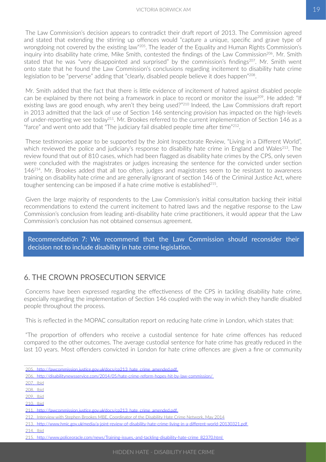<span id="page-20-0"></span>The Law Commission's decision appears to contradict their draft report of 2013. The Commission agreed and stated that extending the stirring up offences would "capture a unique, specific and grave type of wrongdoing not covered by the existing law"<sup>205</sup>. The leader of the Equality and Human Rights Commission's inquiry into disability hate crime, Mike Smith, contested the findings of the Law Commission<sup>206</sup>. Mr. Smith stated that he was "very disappointed and surprised" by the commission's findings<sup>207</sup>. Mr. Smith went onto state that he found the Law Commission's conclusions regarding incitement to disability hate crime legislation to be "perverse" adding that "clearly, disabled people believe it does happen"<sup>208</sup>.

Mr. Smith added that the fact that there is little evidence of incitement of hatred against disabled people can be explained by there not being a framework in place to record or monitor the issue<sup>209</sup>. He added: "If existing laws are good enough, why aren't they being used?"<sup>210</sup> Indeed, the Law Commissions draft report in 2013 admitted that the lack of use of Section 146 sentencing provision has impacted on the high-levels of under-reporting we see today211. Mr. Brookes referred to the current implementation of Section 146 as a "farce" and went onto add that "The judiciary fail disabled people time after time"<sup>212</sup>.

These testimonies appear to be supported by the Joint Inspectorate Review, "Living in a Different World", which reviewed the police and judiciary's response to disability hate crime in England and Wales<sup>213</sup>. The review found that out of 810 cases, which had been flagged as disability hate crimes by the CPS, only seven were concluded with the magistrates or judges increasing the sentence for the convicted under section 146214. Mr. Brookes added that all too often, judges and magistrates seem to be resistant to awareness training on disability hate crime and are generally ignorant of section 146 of the Criminal Justice Act, where tougher sentencing can be imposed if a hate crime motive is established<sup>215</sup>.

Given the large majority of respondents to the Law Commission's initial consultation backing their initial recommendations to extend the current incitement to hatred laws and the negative response to the Law Commission's conclusion from leading anti-disability hate crime practitioners, it would appear that the Law Commission's conclusion has not obtained consensus agreement.

Recommendation 7: We recommend that the Law Commission should reconsider their decision not to include disability in hate crime legislation.

#### 6. THE CROWN PROSECUTION SERVICE

Concerns have been expressed regarding the effectiveness of the CPS in tackling disability hate crime, especially regarding the implementation of Section 146 coupled with the way in which they handle disabled people throughout the process.

This is reflected in the MOPAC consultation report on reducing hate crime in London, which states that:

"The proportion of offenders who receive a custodial sentence for hate crime offences has reduced compared to the other outcomes. The average custodial sentence for hate crime has greatly reduced in the last 10 years. Most offenders convicted in London for hate crime offences are given a fine or community

<sup>205.</sup> http://lawcommission.justice.gov.uk/docs/cp213\_hate\_crime\_amended.pdf

<sup>206.</sup><http://disabilitynewsservice.com/2014/05/hate-crime-reform-hopes-hit-by-law-commission/>

<sup>207.</sup> lbid

<sup>208.</sup> Ibid

<sup>209.</sup> Ibid

<sup>210.</sup> Ibid

<sup>211.</sup> http://lawcommission.justice.gov.uk/docs/cp213\_hate\_crime\_amended.pdf

<sup>212.</sup> Interview with Stephen Brookes MBE, Coordinator of the Disability Hate Crime Network, May 2014

<sup>213.</sup><http://www.hmic.gov.uk/media/a-joint-review-of-disability-hate-crime-living-in-a-different-world-20130321.pdf>

<sup>214.</sup> Ibid

<sup>215.</sup>[http://www.policeoracle.com/news/Training-issues,-and-tackling-disability-hate-crime\\_82370.html](http://www.policeoracle.com/news/Training-issues,-and-tackling-disability-hate-crime_82370.html)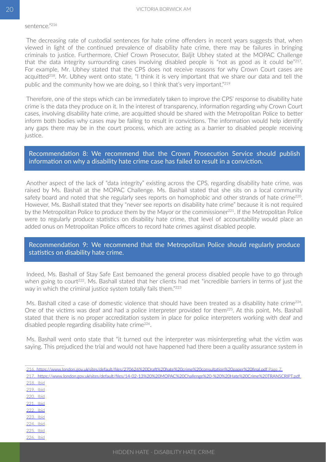The decreasing rate of custodial sentences for hate crime offenders in recent years suggests that, when viewed in light of the continued prevalence of disability hate crime, there may be failures in bringing criminals to justice. Furthermore, Chief Crown Prosecutor, Baljit Ubhey stated at the MOPAC Challenge that the data integrity surrounding cases involving disabled people is "not as good as it could be"<sup>217</sup>. For example, Mr. Ubhey stated that the CPS does not receive reasons for why Crown Court cases are acquitted<sup>218</sup>. Mr. Ubhey went onto state, "I think it is very important that we share our data and tell the public and the community how we are doing, so I think that's very important."219

Therefore, one of the steps which can be immediately taken to improve the CPS' response to disability hate crime is the data they produce on it. In the interest of transparency, information regarding why Crown Court cases, involving disability hate crime, are acquitted should be shared with the Metropolitan Police to better inform both bodies why cases may be failing to result in convictions. The information would help identify any gaps there may be in the court process, which are acting as a barrier to disabled people receiving justice.

#### Recommendation 8: We recommend that the Crown Prosecution Service should publish information on why a disability hate crime case has failed to result in a conviction.

Another aspect of the lack of "data integrity" existing across the CPS, regarding disability hate crime, was raised by Ms. Bashall at the MOPAC Challenge. Ms. Bashall stated that she sits on a local community safety board and noted that she regularly sees reports on homophobic and other strands of hate crime<sup>220</sup>. However, Ms. Bashall stated that they "never see reports on disability hate crime" because it is not required by the Metropolitan Police to produce them by the Mayor or the commissioner<sup>221</sup>. If the Metropolitan Police were to regularly produce statistics on disability hate crime, that level of accountability would place an added onus on Metropolitan Police officers to record hate crimes against disabled people.

#### Recommendation 9: We recommend that the Metropolitan Police should regularly produce statistics on disability hate crime.

Indeed, Ms. Bashall of Stay Safe East bemoaned the general process disabled people have to go through when going to court<sup>222</sup>. Ms. Bashall stated that her clients had met "incredible barriers in terms of just the way in which the criminal justice system totally fails them."<sup>223</sup>

Ms. Bashall cited a case of domestic violence that should have been treated as a disability hate crime<sup>224</sup>. One of the victims was deaf and had a police interpreter provided for them<sup>225</sup>. At this point, Ms. Bashall stated that there is no proper accreditation system in place for police interpreters working with deaf and disabled people regarding disability hate crime<sup>226</sup>.

Ms. Bashall went onto state that "it turned out the interpreter was misinterpreting what the victim was saying. This prejudiced the trial and would not have happened had there been a quality assurance system in

- 217.[https://www.london.gov.uk/sites/default/files/14-02-13%20%20MOPAC%20Challenge%20-%20%20Hate%20Crime%20TRANSCRIPT.pdf](https://www.london.gov.uk/sites/default/files/14-02-13  MOPAC Challenge   Hate Crime TRANSCRIPT.pdf)
- 218. **Ibid** 219. **Ibid**
- 220.*ibid.* 221.    Ibid
- 222.    Ibid
- 223. **Ibid** 224. **Ibid**
- 225.    Ibid
- 226.    Ibid

<sup>216.</sup>[https://www.london.gov.uk/sites/default/files/270626%20Draft%20hate%20crime%20consultation%20paper%20final.pdf](https://www.london.gov.uk/sites/default/files/270626 Draft hate crime consultation paper final.pdf) Page 7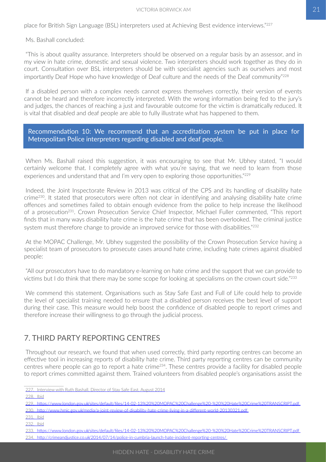#### VICTORIA BORWICK AM 21

<span id="page-22-0"></span>place for British Sign Language (BSL) interpreters used at Achieving Best evidence interviews."227

Ms. Bashall concluded:

"This is about quality assurance. Interpreters should be observed on a regular basis by an assessor, and in my view in hate crime, domestic and sexual violence. Two interpreters should work together as they do in court. Consultation over BSL interpreters should be with specialist agencies such as ourselves and most importantly Deaf Hope who have knowledge of Deaf culture and the needs of the Deaf community"228

If a disabled person with a complex needs cannot express themselves correctly, their version of events cannot be heard and therefore incorrectly interpreted. With the wrong information being fed to the jury's and judges, the chances of reaching a just and favourable outcome for the victim is dramatically reduced. It is vital that disabled and deaf people are able to fully illustrate what has happened to them.

Recommendation 10: We recommend that an accreditation system be put in place for Metropolitan Police interpreters regarding disabled and deaf people.

When Ms. Bashall raised this suggestion, it was encouraging to see that Mr. Ubhey stated, "I would certainly welcome that. I completely agree with what you're saying, that we need to learn from those experiences and understand that and I'm very open to exploring those opportunities."<sup>229</sup>

Indeed, the Joint Inspectorate Review in 2013 was critical of the CPS and its handling of disability hate crime230. It stated that prosecutors were often not clear in identifying and analysing disability hate crime offences and sometimes failed to obtain enough evidence from the police to help increase the likelihood of a prosecution<sup>231</sup>. Crown Prosecution Service Chief Inspector, Michael Fuller commented, "This report finds that in many ways disability hate crime is the hate crime that has been overlooked. The criminal justice system must therefore change to provide an improved service for those with disabilities."<sup>232</sup>

At the MOPAC Challenge, Mr. Ubhey suggested the possibility of the Crown Prosecution Service having a specialist team of prosecutors to prosecute cases around hate crime, including hate crimes against disabled people:

"All our prosecutors have to do mandatory e-learning on hate crime and the support that we can provide to victims but I do think that there may be some scope for looking at specialisms on the crown court side."233

We commend this statement. Organisations such as Stay Safe East and Full of Life could help to provide the level of specialist training needed to ensure that a disabled person receives the best level of support during their case. This measure would help boost the confidence of disabled people to report crimes and therefore increase their willingness to go through the judicial process.

#### 7. THIRD PARTY REPORTING CENTRES

Throughout our research, we found that when used correctly, third party reporting centres can become an effective tool in increasing reports of disability hate crime. Third party reporting centres can be community centres where people can go to report a hate crime<sup>234</sup>. These centres provide a facility for disabled people to report crimes committed against them. Trained volunteers from disabled people's organisations assist the

228.    Ibid

234.<http://crimeandjustice.co.uk/2014/07/14/police-in-cumbria-launch-hate-incident-reporting-centres/>

<sup>227.</sup> Interview with Ruth Bashall, Director of Stay Safe East, August 2014

<sup>229.</sup>[https://www.london.gov.uk/sites/default/files/14-02-13%20%20MOPAC%20Challenge%20-%20%20Hate%20Crime%20TRANSCRIPT.pdf](https://www.london.gov.uk/sites/default/files/14-02-13  MOPAC Challenge -  Hate Crime TRANSCRIPT.pdf)

<sup>230.</sup><http://www.hmic.gov.uk/media/a-joint-review-of-disability-hate-crime-living-in-a-different-world-20130321.pdf>

<sup>231.</sup> **Ibid** 

<sup>232.</sup> **Ibid** 

<sup>233.</sup>[https://www.london.gov.uk/sites/default/files/14-02-13%20%20MOPAC%20Challenge%20-%20%20Hate%20Crime%20TRANSCRIPT.pdf](https://www.london.gov.uk/sites/default/files/14-02-13  MOPAC Challenge -  Hate Crime TRANSCRIPT.pdf)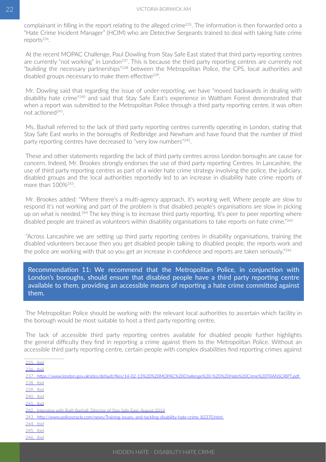complainant in filling in the report relating to the alleged crime<sup>235</sup>. The information is then forwarded onto a "Hate Crime Incident Manager" (HCIM) who are Detective Sergeants trained to deal with taking hate crime reports236.

At the recent MOPAC Challenge, Paul Dowling from Stay Safe East stated that third party reporting centres are currently "not working" in London<sup>237</sup>. This is because the third party reporting centres are currently not "building the necessary partnerships"238 between the Metropolitan Police, the CPS, local authorities and disabled groups necessary to make them effective<sup>239</sup>.

Mr. Dowling said that regarding the issue of under-reporting, we have "moved backwards in dealing with disability hate crime"240 and said that Stay Safe East's experience in Waltham Forest demonstrated that when a report was submitted to the Metropolitan Police through a third party reporting centre, it was often not actioned241.

Ms. Bashall referred to the lack of third party reporting centres currently operating in London, stating that Stay Safe East works in the boroughs of Redbridge and Newham and have found that the number of third party reporting centres have decreased to "very low numbers"<sup>242</sup>.

These and other statements regarding the lack of third party centres across London boroughs are cause for concern. Indeed, Mr. Brookes strongly endorses the use of third party reporting Centres. In Lancashire, the use of third party reporting centres as part of a wider hate crime strategy involving the police, the judiciary, disabled groups and the local authorities reportedly led to an increase in disability hate crime reports of more than 100%243.

Mr. Brookes added: "Where there's a multi-agency approach, it's working well. Where people are slow to respond it's not working and part of the problem is that disabled people's organisations are slow in picking up on what is needed.<sup>244</sup> The key thing is to increase third party reporting. It's peer to peer reporting where disabled people are trained as volunteers within disability organisations to take reports on hate crime."<sup>245</sup>

"Across Lancashire we are setting up third party reporting centres in disability organisations, training the disabled volunteers because then you get disabled people talking to disabled people, the reports work and the police are working with that so you get an increase in confidence and reports are taken seriously."<sup>246</sup>

Recommendation 11: We recommend that the Metropolitan Police, in conjunction with London's boroughs, should ensure that disabled people have a third party reporting centre available to them, providing an accessible means of reporting a hate crime committed against them.

The Metropolitan Police should be working with the relevant local authorities to ascertain which facility in the borough would be most suitable to host a third party reporting centre.

The lack of accessible third party reporting centres available for disabled people further highlights the general difficulty they find in reporting a crime against them to the Metropolitan Police. Without an accessible third party reporting centre, certain people with complex disabilities find reporting crimes against

236. **Ibid** 

<sup>235.</sup> Ibid

<sup>237.</sup>[https://www.london.gov.uk/sites/default/files/14-02-13%20%20MOPAC%20Challenge%20-%20%20Hate%20Crime%20TRANSCRIPT.pdf](https://www.london.gov.uk/sites/default/files/14-02-13  MOPAC Challenge -  Hate Crime TRANSCRIPT.pdf) 238.    Ibid

<sup>239.</sup> Ibid

<sup>240.</sup> **Ibid** 

<sup>241.</sup> Ibid

<sup>242</sup> Interview with Ruth Bashall, Director of Stay Safe East, August 2014

<sup>243.</sup>[http://www.policeoracle.com/news/Training-issues,-and-tackling-disability-hate-crime\\_82370.html](http://www.policeoracle.com/news/Training-issues,-and-tackling-disability-hate-crime_82370.html)

<sup>244.</sup> **Ibid** 

<sup>245.</sup> *bid* 

<sup>246.</sup> Ibid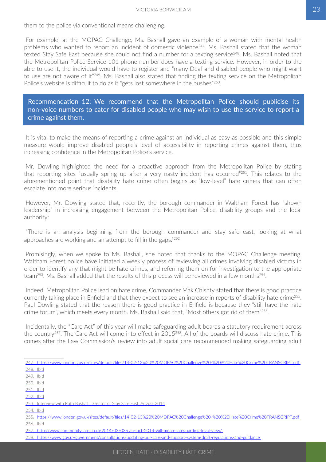them to the police via conventional means challenging.

For example, at the MOPAC Challenge, Ms. Bashall gave an example of a woman with mental health problems who wanted to report an incident of domestic violence<sup>247</sup>. Ms. Bashall stated that the woman texted Stay Safe East because she could not find a number for a texting service<sup>248</sup>. Ms. Bashall noted that the Metropolitan Police Service 101 phone number does have a texting service. However, in order to the able to use it, the individual would have to register and "many Deaf and disabled people who might want to use are not aware of it"249. Ms. Bashall also stated that finding the texting service on the Metropolitan Police's website is difficult to do as it "gets lost somewhere in the bushes"<sup>250</sup>.

Recommendation 12: We recommend that the Metropolitan Police should publicise its non-voice numbers to cater for disabled people who may wish to use the service to report a crime against them.

It is vital to make the means of reporting a crime against an individual as easy as possible and this simple measure would improve disabled people's level of accessibility in reporting crimes against them, thus increasing confidence in the Metropolitan Police's service.

Mr. Dowling highlighted the need for a proactive approach from the Metropolitan Police by stating that reporting sites "usually spring up after a very nasty incident has occurred"251. This relates to the aforementioned point that disability hate crime often begins as "low-level" hate crimes that can often escalate into more serious incidents.

However, Mr. Dowling stated that, recently, the borough commander in Waltham Forest has "shown leadership" in increasing engagement between the Metropolitan Police, disability groups and the local authority:

"There is an analysis beginning from the borough commander and stay safe east, looking at what approaches are working and an attempt to fill in the gaps."<sup>252</sup>

Promisingly, when we spoke to Ms. Bashall, she noted that thanks to the MOPAC Challenge meeting, Waltham Forest police have initiated a weekly process of reviewing all crimes involving disabled victims in order to identify any that might be hate crimes, and referring them on for investigation to the appropriate team<sup>253</sup>. Ms. Bashall added that the results of this process will be reviewed in a few months<sup>254</sup>.

Indeed, Metropolitan Police lead on hate crime, Commander Mak Chishty stated that there is good practice currently taking place in Enfield and that they expect to see an increase in reports of disability hate crime<sup>255</sup>. Paul Dowling stated that the reason there is good practice in Enfield is because they "still have the hate crime forum", which meets every month. Ms. Bashall said that, "Most others got rid of them"256.

Incidentally, the "Care Act" of this year will make safeguarding adult boards a statutory requirement across the country257. The Care Act will come into effect in 2015258. All of the boards will discuss hate crime. This comes after the Law Commission's review into adult social care recommended making safeguarding adult

247.[https://www.london.gov.uk/sites/default/files/14-02-13%20%20MOPAC%20Challenge%20-%20%20Hate%20Crime%20TRANSCRIPT.pdf](https://www.london.gov.uk/sites/default/files/14-02-13  MOPAC Challenge -  Hate Crime TRANSCRIPT.pdf) 248. **Ibid** 249.    Ibid 250.    Ibid 251.    Ibid 252. **Ibid** 253. Interview with Ruth Bashall, Director of Stay Safe East, August 2014

254.    Ibid

<sup>255.</sup>[https://www.london.gov.uk/sites/default/files/14-02-13%20%20MOPAC%20Challenge%20-%20%20Hate%20Crime%20TRANSCRIPT.pdf](https://www.london.gov.uk/sites/default/files/14-02-13  MOPAC Challenge -  Hate Crime TRANSCRIPT.pdf) 256.    Ibid

<sup>257.</sup><http://www.communitycare.co.uk/2014/03/03/care-act-2014-will-mean-safeguarding-legal-view/>

<sup>258.</sup><https://www.gov.uk/government/consultations/updating-our-care-and-support-system-draft-regulations-and-guidance>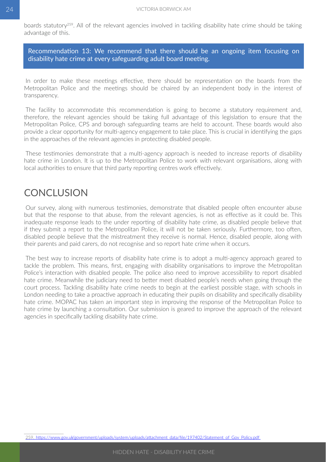<span id="page-25-0"></span>boards statutory259. All of the relevant agencies involved in tackling disability hate crime should be taking advantage of this.

Recommendation 13: We recommend that there should be an ongoing item focusing on disability hate crime at every safeguarding adult board meeting.

In order to make these meetings effective, there should be representation on the boards from the Metropolitan Police and the meetings should be chaired by an independent body in the interest of transparency.

The facility to accommodate this recommendation is going to become a statutory requirement and, therefore, the relevant agencies should be taking full advantage of this legislation to ensure that the Metropolitan Police, CPS and borough safeguarding teams are held to account. These boards would also provide a clear opportunity for multi-agency engagement to take place. This is crucial in identifying the gaps in the approaches of the relevant agencies in protecting disabled people.

These testimonies demonstrate that a multi-agency approach is needed to increase reports of disability hate crime in London. It is up to the Metropolitan Police to work with relevant organisations, along with local authorities to ensure that third party reporting centres work effectively.

#### **CONCLUSION**

Our survey, along with numerous testimonies, demonstrate that disabled people often encounter abuse but that the response to that abuse, from the relevant agencies, is not as effective as it could be. This inadequate response leads to the under reporting of disability hate crime, as disabled people believe that if they submit a report to the Metropolitan Police, it will not be taken seriously. Furthermore, too often, disabled people believe that the mistreatment they receive is normal. Hence, disabled people, along with their parents and paid carers, do not recognise and so report hate crime when it occurs.

The best way to increase reports of disability hate crime is to adopt a multi-agency approach geared to tackle the problem. This means, first, engaging with disability organisations to improve the Metropolitan Police's interaction with disabled people. The police also need to improve accessibility to report disabled hate crime. Meanwhile the judiciary need to better meet disabled people's needs when going through the court process. Tackling disability hate crime needs to begin at the earliest possible stage, with schools in London needing to take a proactive approach in educating their pupils on disability and specifically disability hate crime. MOPAC has taken an important step in improving the response of the Metropolitan Police to hate crime by launching a consultation. Our submission is geared to improve the approach of the relevant agencies in specifically tackling disability hate crime.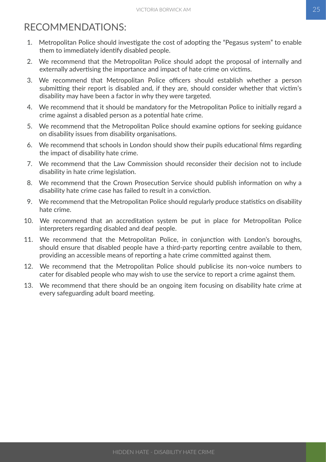## <span id="page-26-0"></span>RECOMMENDATIONS:

- 1. Metropolitan Police should investigate the cost of adopting the "Pegasus system" to enable them to immediately identify disabled people.
- 2. We recommend that the Metropolitan Police should adopt the proposal of internally and externally advertising the importance and impact of hate crime on victims.
- 3. We recommend that Metropolitan Police officers should establish whether a person submitting their report is disabled and, if they are, should consider whether that victim's disability may have been a factor in why they were targeted.
- 4. We recommend that it should be mandatory for the Metropolitan Police to initially regard a crime against a disabled person as a potential hate crime.
- 5. We recommend that the Metropolitan Police should examine options for seeking guidance on disability issues from disability organisations.
- 6. We recommend that schools in London should show their pupils educational films regarding the impact of disability hate crime.
- 7. We recommend that the Law Commission should reconsider their decision not to include disability in hate crime legislation.
- 8. We recommend that the Crown Prosecution Service should publish information on why a disability hate crime case has failed to result in a conviction.
- 9. We recommend that the Metropolitan Police should regularly produce statistics on disability hate crime.
- 10. We recommend that an accreditation system be put in place for Metropolitan Police interpreters regarding disabled and deaf people.
- 11. We recommend that the Metropolitan Police, in conjunction with London's boroughs, should ensure that disabled people have a third-party reporting centre available to them, providing an accessible means of reporting a hate crime committed against them.
- 12. We recommend that the Metropolitan Police should publicise its non-voice numbers to cater for disabled people who may wish to use the service to report a crime against them.
- 13. We recommend that there should be an ongoing item focusing on disability hate crime at every safeguarding adult board meeting.